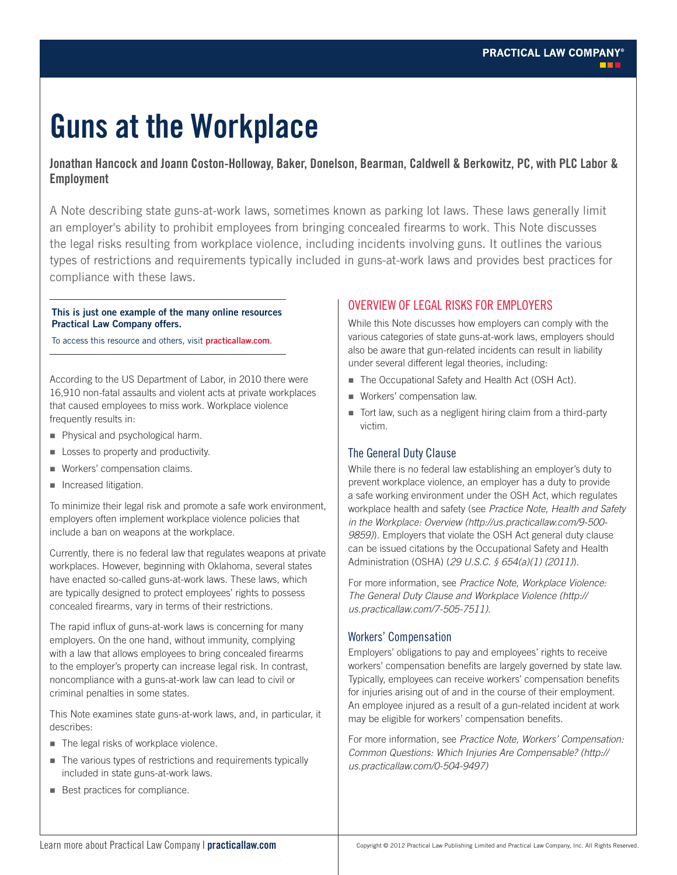# **Guns at the Workplace**

## **Jonathan Hancock and Joann Coston-Holloway, Baker, Donelson, Bearman, Caldwell & Berkowitz, PC, with PLC Labor & Employment**

A Note describing state guns-at-work laws, sometimes known as parking lot laws. These laws generally limit an employer's ability to prohibit employees from bringing concealed firearms to work. This Note discusses the legal risks resulting from workplace violence, including incidents involving guns. It outlines the various types of restrictions and requirements typically included in guns-at-work laws and provides best practices for compliance with these laws.

#### **This is just one example of the many online resources Practical Law Company offers.**

To access this resource and others, visit **practicallaw.com**.

According to the US Department of Labor, in 2010 there were 16,910 non-fatal assaults and violent acts at private workplaces that caused employees to miss work. Workplace violence frequently results in:

- Physical and psychological harm.
- **Losses to property and productivity.**
- **Workers' compensation claims.**
- **Increased litigation.**

To minimize their legal risk and promote a safe work environment, employers often implement workplace violence policies that include a ban on weapons at the workplace.

Currently, there is no federal law that regulates weapons at private workplaces. However, beginning with Oklahoma, several states have enacted so-called guns-at-work laws. These laws, which are typically designed to protect employees' rights to possess concealed firearms, vary in terms of their restrictions.

The rapid influx of guns-at-work laws is concerning for many employers. On the one hand, without immunity, complying with a law that allows employees to bring concealed firearms to the employer's property can increase legal risk. In contrast, noncompliance with a guns-at-work law can lead to civil or criminal penalties in some states.

This Note examines state guns-at-work laws, and, in particular, it describes:

- The legal risks of workplace violence.
- The various types of restrictions and requirements typically included in state guns-at-work laws.
- Best practices for compliance.

## OVERVIEW OF LEGAL RISKS FOR EMPLOYERS

While this Note discusses how employers can comply with the various categories of state guns-at-work laws, employers should also be aware that gun-related incidents can result in liability under several different legal theories, including:

- The Occupational Safety and Health Act (OSH Act).
- Workers' compensation law.
- Tort law, such as a negligent hiring claim from a third-party victim.

## The General Duty Clause

While there is no federal law establishing an employer's duty to prevent workplace violence, an employer has a duty to provide a safe working environment under the OSH Act, which regulates workplace health and safety (see *Practice Note, Health and Safety in the Workplace: Overview (http://us.practicallaw.com/9-500- 9859)*). Employers that violate the OSH Act general duty clause can be issued citations by the Occupational Safety and Health Administration (OSHA) (*29 U.S.C. § 654(a)(1) (2011)*).

For more information, see *Practice Note, Workplace Violence: The General Duty Clause and Workplace Violence (http:// us.practicallaw.com/7-505-7511)*.

## Workers' Compensation

Employers' obligations to pay and employees' rights to receive workers' compensation benefits are largely governed by state law. Typically, employees can receive workers' compensation benefits for injuries arising out of and in the course of their employment. An employee injured as a result of a gun-related incident at work may be eligible for workers' compensation benefits.

For more information, see *Practice Note, Workers' Compensation: Common Questions: Which Injuries Are Compensable? (http:// us.practicallaw.com/0-504-9497)*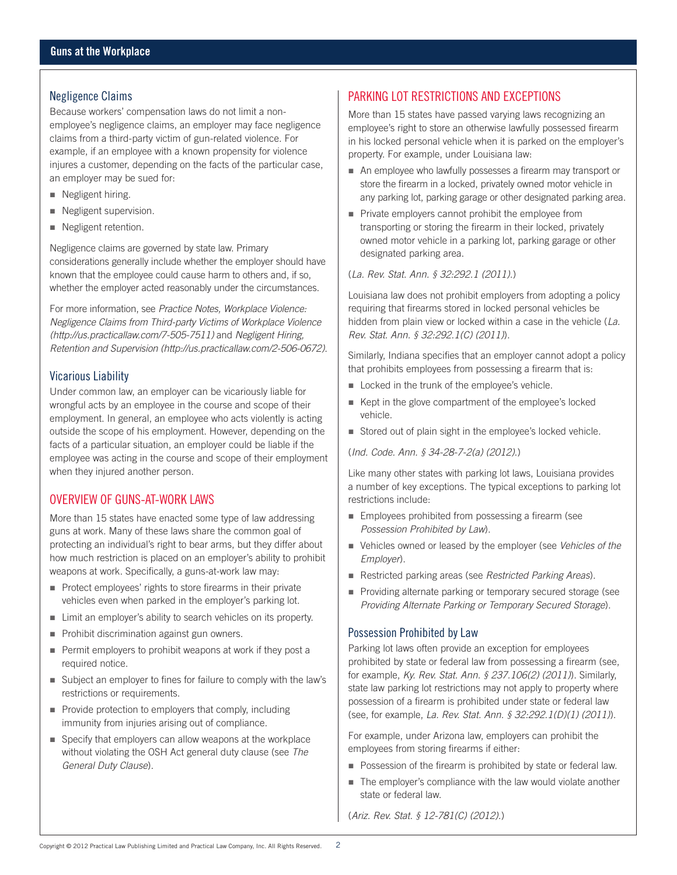## Negligence Claims

Because workers' compensation laws do not limit a nonemployee's negligence claims, an employer may face negligence claims from a third-party victim of gun-related violence. For example, if an employee with a known propensity for violence injures a customer, depending on the facts of the particular case, an employer may be sued for:

- Negligent hiring.
- Negligent supervision.
- Negligent retention.

Negligence claims are governed by state law. Primary considerations generally include whether the employer should have known that the employee could cause harm to others and, if so, whether the employer acted reasonably under the circumstances.

For more information, see *Practice Notes, Workplace Violence: Negligence Claims from Third-party Victims of Workplace Violence (http://us.practicallaw.com/7-505-7511)* and *Negligent Hiring, Retention and Supervision (http://us.practicallaw.com/2-506-0672)*.

## Vicarious Liability

Under common law, an employer can be vicariously liable for wrongful acts by an employee in the course and scope of their employment. In general, an employee who acts violently is acting outside the scope of his employment. However, depending on the facts of a particular situation, an employer could be liable if the employee was acting in the course and scope of their employment when they injured another person.

## OVERVIEW OF GUNS-AT-WORK LAWS

More than 15 states have enacted some type of law addressing guns at work. Many of these laws share the common goal of protecting an individual's right to bear arms, but they differ about how much restriction is placed on an employer's ability to prohibit weapons at work. Specifically, a guns-at-work law may:

- Protect employees' rights to store firearms in their private vehicles even when parked in the employer's parking lot.
- Limit an employer's ability to search vehicles on its property.
- Prohibit discrimination against gun owners.
- Permit employers to prohibit weapons at work if they post a required notice.
- Subject an employer to fines for failure to comply with the law's restrictions or requirements.
- Provide protection to employers that comply, including immunity from injuries arising out of compliance.
- Specify that employers can allow weapons at the workplace without violating the OSH Act general duty clause (see *The General Duty Clause*).

# PARKING LOT RESTRICTIONS AND EXCEPTIONS

More than 15 states have passed varying laws recognizing an employee's right to store an otherwise lawfully possessed firearm in his locked personal vehicle when it is parked on the employer's property. For example, under Louisiana law:

- An employee who lawfully possesses a firearm may transport or store the firearm in a locked, privately owned motor vehicle in any parking lot, parking garage or other designated parking area.
- **Private employers cannot prohibit the employee from** transporting or storing the firearm in their locked, privately owned motor vehicle in a parking lot, parking garage or other designated parking area.

## (*La. Rev. Stat. Ann. § 32:292.1 (2011)*.)

Louisiana law does not prohibit employers from adopting a policy requiring that firearms stored in locked personal vehicles be hidden from plain view or locked within a case in the vehicle (*La. Rev. Stat. Ann. § 32:292.1(C) (2011)*).

Similarly, Indiana specifies that an employer cannot adopt a policy that prohibits employees from possessing a firearm that is:

- Locked in the trunk of the employee's vehicle.
- Kept in the glove compartment of the employee's locked vehicle.
- Stored out of plain sight in the employee's locked vehicle.
- (*Ind. Code. Ann. § 34-28-7-2(a) (2012)*.)

Like many other states with parking lot laws, Louisiana provides a number of key exceptions. The typical exceptions to parking lot restrictions include:

- **Employees prohibited from possessing a firearm (see**) *Possession Prohibited by Law*).
- Vehicles owned or leased by the employer (see *Vehicles of the Employer*).
- Restricted parking areas (see *Restricted Parking Areas*).
- **Providing alternate parking or temporary secured storage (see**) *Providing Alternate Parking or Temporary Secured Storage*).

## Possession Prohibited by Law

Parking lot laws often provide an exception for employees prohibited by state or federal law from possessing a firearm (see, for example, *Ky. Rev. Stat. Ann. § 237.106(2) (2011)*). Similarly, state law parking lot restrictions may not apply to property where possession of a firearm is prohibited under state or federal law (see, for example, *La. Rev. Stat. Ann. § 32:292.1(D)(1) (2011)*).

For example, under Arizona law, employers can prohibit the employees from storing firearms if either:

- **Possession of the firearm is prohibited by state or federal law.**
- The employer's compliance with the law would violate another state or federal law.

(*Ariz. Rev. Stat. § 12-781(C) (2012)*.)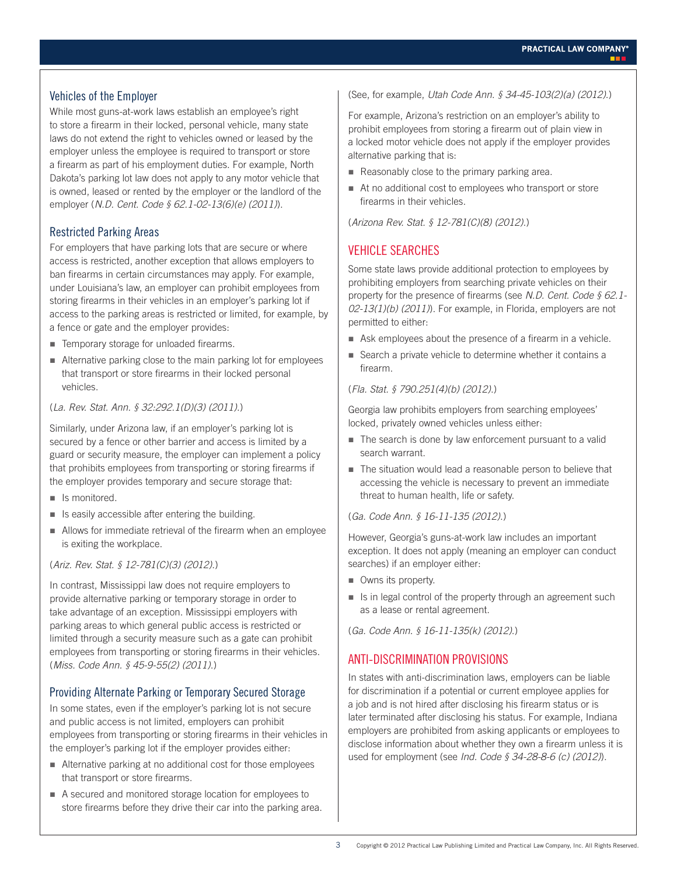## Vehicles of the Employer

While most guns-at-work laws establish an employee's right to store a firearm in their locked, personal vehicle, many state laws do not extend the right to vehicles owned or leased by the employer unless the employee is required to transport or store a firearm as part of his employment duties. For example, North Dakota's parking lot law does not apply to any motor vehicle that is owned, leased or rented by the employer or the landlord of the employer (*N.D. Cent. Code § 62.1-02-13(6)(e) (2011)*).

## Restricted Parking Areas

For employers that have parking lots that are secure or where access is restricted, another exception that allows employers to ban firearms in certain circumstances may apply. For example, under Louisiana's law, an employer can prohibit employees from storing firearms in their vehicles in an employer's parking lot if access to the parking areas is restricted or limited, for example, by a fence or gate and the employer provides:

- **Temporary storage for unloaded firearms.**
- Alternative parking close to the main parking lot for employees that transport or store firearms in their locked personal vehicles.

#### (*La. Rev. Stat. Ann. § 32:292.1(D)(3) (2011)*.)

Similarly, under Arizona law, if an employer's parking lot is secured by a fence or other barrier and access is limited by a guard or security measure, the employer can implement a policy that prohibits employees from transporting or storing firearms if the employer provides temporary and secure storage that:

- Is monitored.
- Is easily accessible after entering the building.
- Allows for immediate retrieval of the firearm when an employee is exiting the workplace.

#### (*Ariz. Rev. Stat. § 12-781(C)(3) (2012)*.)

In contrast, Mississippi law does not require employers to provide alternative parking or temporary storage in order to take advantage of an exception. Mississippi employers with parking areas to which general public access is restricted or limited through a security measure such as a gate can prohibit employees from transporting or storing firearms in their vehicles. (*Miss. Code Ann. § 45-9-55(2) (2011)*.)

## Providing Alternate Parking or Temporary Secured Storage

In some states, even if the employer's parking lot is not secure and public access is not limited, employers can prohibit employees from transporting or storing firearms in their vehicles in the employer's parking lot if the employer provides either:

- Alternative parking at no additional cost for those employees that transport or store firearms.
- A secured and monitored storage location for employees to store firearms before they drive their car into the parking area.

#### (See, for example, *Utah Code Ann. § 34-45-103(2)(a) (2012)*.)

For example, Arizona's restriction on an employer's ability to prohibit employees from storing a firearm out of plain view in a locked motor vehicle does not apply if the employer provides alternative parking that is:

- Reasonably close to the primary parking area.
- At no additional cost to employees who transport or store firearms in their vehicles.

(*Arizona Rev. Stat. § 12-781(C)(8) (2012)*.)

## VEHICLE SEARCHES

Some state laws provide additional protection to employees by prohibiting employers from searching private vehicles on their property for the presence of firearms (see *N.D. Cent. Code § 62.1- 02-13(1)(b) (2011)*). For example, in Florida, employers are not permitted to either:

- Ask employees about the presence of a firearm in a vehicle.
- Search a private vehicle to determine whether it contains a firearm.

## (*Fla. Stat. § 790.251(4)(b) (2012)*.)

Georgia law prohibits employers from searching employees' locked, privately owned vehicles unless either:

- The search is done by law enforcement pursuant to a valid search warrant.
- The situation would lead a reasonable person to believe that accessing the vehicle is necessary to prevent an immediate threat to human health, life or safety.

#### (*Ga. Code Ann. § 16-11-135 (2012)*.)

However, Georgia's guns-at-work law includes an important exception. It does not apply (meaning an employer can conduct searches) if an employer either:

- Owns its property.
- $\blacksquare$  Is in legal control of the property through an agreement such as a lease or rental agreement.

(*Ga. Code Ann. § 16-11-135(k) (2012)*.)

## ANTI-DISCRIMINATION PROVISIONS

In states with anti-discrimination laws, employers can be liable for discrimination if a potential or current employee applies for a job and is not hired after disclosing his firearm status or is later terminated after disclosing his status. For example, Indiana employers are prohibited from asking applicants or employees to disclose information about whether they own a firearm unless it is used for employment (see *Ind. Code § 34-28-8-6 (c) (2012)*).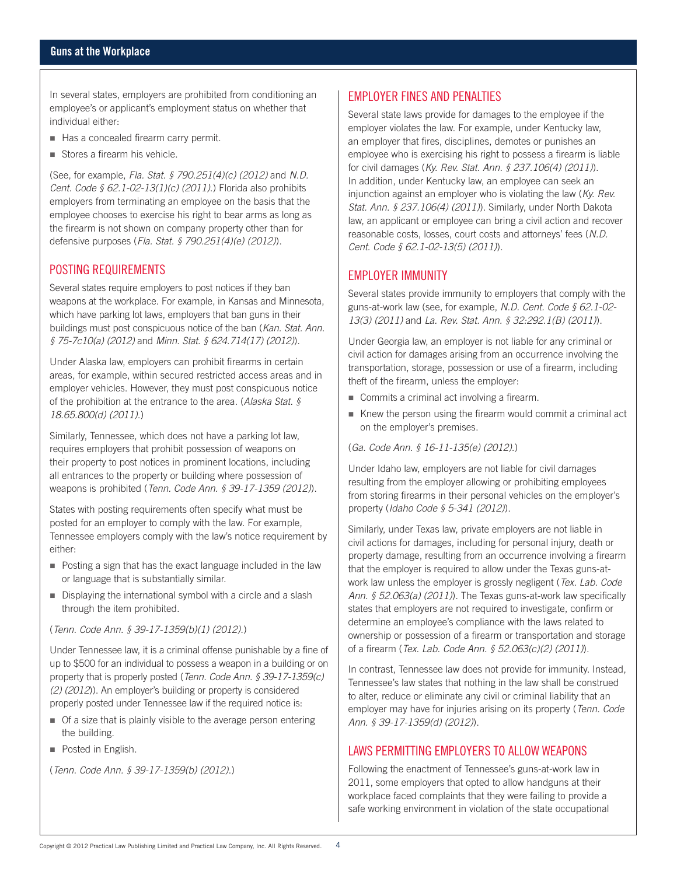In several states, employers are prohibited from conditioning an employee's or applicant's employment status on whether that individual either:

- Has a concealed firearm carry permit.
- Stores a firearm his vehicle.

(See, for example, *Fla. Stat. § 790.251(4)(c) (2012)* and *N.D. Cent. Code § 62.1-02-13(1)(c) (2011)*.) Florida also prohibits employers from terminating an employee on the basis that the employee chooses to exercise his right to bear arms as long as the firearm is not shown on company property other than for defensive purposes (*Fla. Stat. § 790.251(4)(e) (2012)*).

## POSTING REQUIREMENTS

Several states require employers to post notices if they ban weapons at the workplace. For example, in Kansas and Minnesota, which have parking lot laws, employers that ban guns in their buildings must post conspicuous notice of the ban (*Kan. Stat. Ann. § 75-7c10(a) (2012)* and *Minn. Stat. § 624.714(17) (2012)*).

Under Alaska law, employers can prohibit firearms in certain areas, for example, within secured restricted access areas and in employer vehicles. However, they must post conspicuous notice of the prohibition at the entrance to the area. (*Alaska Stat. § 18.65.800(d) (2011)*.)

Similarly, Tennessee, which does not have a parking lot law, requires employers that prohibit possession of weapons on their property to post notices in prominent locations, including all entrances to the property or building where possession of weapons is prohibited (*Tenn. Code Ann. § 39-17-1359 (2012)*).

States with posting requirements often specify what must be posted for an employer to comply with the law. For example, Tennessee employers comply with the law's notice requirement by either:

- Posting a sign that has the exact language included in the law or language that is substantially similar.
- Displaying the international symbol with a circle and a slash through the item prohibited.

(*Tenn. Code Ann. § 39-17-1359(b)(1) (2012)*.)

Under Tennessee law, it is a criminal offense punishable by a fine of up to \$500 for an individual to possess a weapon in a building or on property that is properly posted (*Tenn. Code Ann. § 39-17-1359(c) (2) (2012*)). An employer's building or property is considered properly posted under Tennessee law if the required notice is:

- Of a size that is plainly visible to the average person entering the building.
- Posted in English.

(*Tenn. Code Ann. § 39-17-1359(b) (2012)*.)

## EMPLOYER FINES AND PENALTIES

Several state laws provide for damages to the employee if the employer violates the law. For example, under Kentucky law, an employer that fires, disciplines, demotes or punishes an employee who is exercising his right to possess a firearm is liable for civil damages (*Ky. Rev. Stat. Ann. § 237.106(4) (2011)*). In addition, under Kentucky law, an employee can seek an injunction against an employer who is violating the law (*Ky. Rev. Stat. Ann. § 237.106(4) (2011)*). Similarly, under North Dakota law, an applicant or employee can bring a civil action and recover reasonable costs, losses, court costs and attorneys' fees (*N.D. Cent. Code § 62.1-02-13(5) (2011)*).

## EMPLOYER IMMUNITY

Several states provide immunity to employers that comply with the guns-at-work law (see, for example, *N.D. Cent. Code § 62.1-02- 13(3) (2011)* and *La. Rev. Stat. Ann. § 32:292.1(B) (2011)*).

Under Georgia law, an employer is not liable for any criminal or civil action for damages arising from an occurrence involving the transportation, storage, possession or use of a firearm, including theft of the firearm, unless the employer:

- Commits a criminal act involving a firearm.
- Knew the person using the firearm would commit a criminal act on the employer's premises.

(*Ga. Code Ann. § 16-11-135(e) (2012)*.)

Under Idaho law, employers are not liable for civil damages resulting from the employer allowing or prohibiting employees from storing firearms in their personal vehicles on the employer's property (*Idaho Code § 5-341 (2012)*).

Similarly, under Texas law, private employers are not liable in civil actions for damages, including for personal injury, death or property damage, resulting from an occurrence involving a firearm that the employer is required to allow under the Texas guns-atwork law unless the employer is grossly negligent (*Tex. Lab. Code Ann. § 52.063(a) (2011)*). The Texas guns-at-work law specifically states that employers are not required to investigate, confirm or determine an employee's compliance with the laws related to ownership or possession of a firearm or transportation and storage of a firearm (*Tex. Lab. Code Ann. § 52.063(c)(2) (2011)*).

In contrast, Tennessee law does not provide for immunity. Instead, Tennessee's law states that nothing in the law shall be construed to alter, reduce or eliminate any civil or criminal liability that an employer may have for injuries arising on its property (*Tenn. Code Ann. § 39-17-1359(d) (2012)*).

## LAWS PERMITTING EMPLOYERS TO ALLOW WEAPONS

Following the enactment of Tennessee's guns-at-work law in 2011, some employers that opted to allow handguns at their workplace faced complaints that they were failing to provide a safe working environment in violation of the state occupational